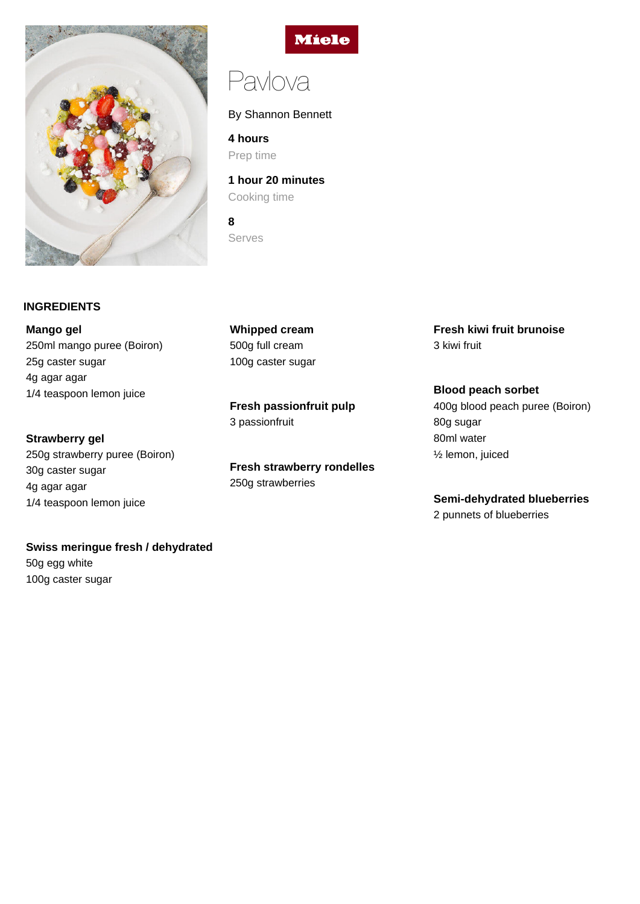

# **INGREDIENTS**

**Mango gel** 250ml mango puree (Boiron) 25g caster sugar 4g agar agar 1/4 teaspoon lemon juice

**Strawberry gel** 250g strawberry puree (Boiron) 30g caster sugar 4g agar agar 1/4 teaspoon lemon juice

# **Swiss meringue fresh / dehydrated**

50g egg white 100g caster sugar



# Pavlova

By Shannon Bennett

**4 hours** Prep time

**1 hour 20 minutes** Cooking time

**8** Serves

**Whipped cream** 500g full cream 100g caster sugar

**Fresh passionfruit pulp** 3 passionfruit

**Fresh strawberry rondelles** 250g strawberries

**Fresh kiwi fruit brunoise** 3 kiwi fruit

**Blood peach sorbet** 400g blood peach puree (Boiron) 80g sugar 80ml water ½ lemon, juiced

# **Semi-dehydrated blueberries**

2 punnets of blueberries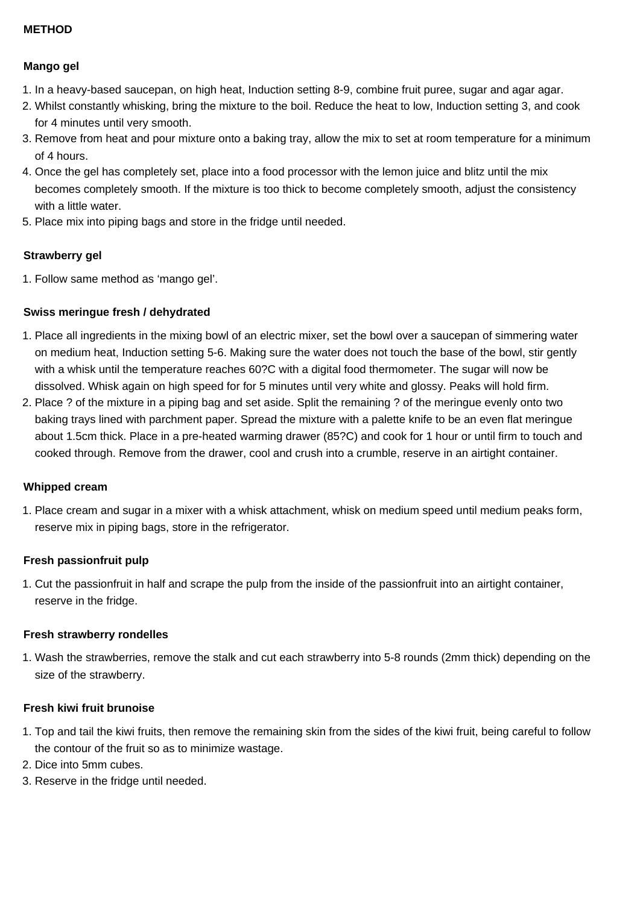# **METHOD**

# **Mango gel**

- 1. In a heavy-based saucepan, on high heat, Induction setting 8-9, combine fruit puree, sugar and agar agar.
- 2. Whilst constantly whisking, bring the mixture to the boil. Reduce the heat to low, Induction setting 3, and cook for 4 minutes until very smooth.
- 3. Remove from heat and pour mixture onto a baking tray, allow the mix to set at room temperature for a minimum of 4 hours.
- 4. Once the gel has completely set, place into a food processor with the lemon juice and blitz until the mix becomes completely smooth. If the mixture is too thick to become completely smooth, adjust the consistency with a little water.
- 5. Place mix into piping bags and store in the fridge until needed.

# **Strawberry gel**

1. Follow same method as 'mango gel'.

# **Swiss meringue fresh / dehydrated**

- 1. Place all ingredients in the mixing bowl of an electric mixer, set the bowl over a saucepan of simmering water on medium heat, Induction setting 5-6. Making sure the water does not touch the base of the bowl, stir gently with a whisk until the temperature reaches 60?C with a digital food thermometer. The sugar will now be dissolved. Whisk again on high speed for for 5 minutes until very white and glossy. Peaks will hold firm.
- 2. Place ? of the mixture in a piping bag and set aside. Split the remaining ? of the meringue evenly onto two baking trays lined with parchment paper. Spread the mixture with a palette knife to be an even flat meringue about 1.5cm thick. Place in a pre-heated warming drawer (85?C) and cook for 1 hour or until firm to touch and cooked through. Remove from the drawer, cool and crush into a crumble, reserve in an airtight container.

#### **Whipped cream**

1. Place cream and sugar in a mixer with a whisk attachment, whisk on medium speed until medium peaks form, reserve mix in piping bags, store in the refrigerator.

#### **Fresh passionfruit pulp**

1. Cut the passionfruit in half and scrape the pulp from the inside of the passionfruit into an airtight container, reserve in the fridge.

#### **Fresh strawberry rondelles**

1. Wash the strawberries, remove the stalk and cut each strawberry into 5-8 rounds (2mm thick) depending on the size of the strawberry.

#### **Fresh kiwi fruit brunoise**

- 1. Top and tail the kiwi fruits, then remove the remaining skin from the sides of the kiwi fruit, being careful to follow the contour of the fruit so as to minimize wastage.
- 2. Dice into 5mm cubes.
- 3. Reserve in the fridge until needed.